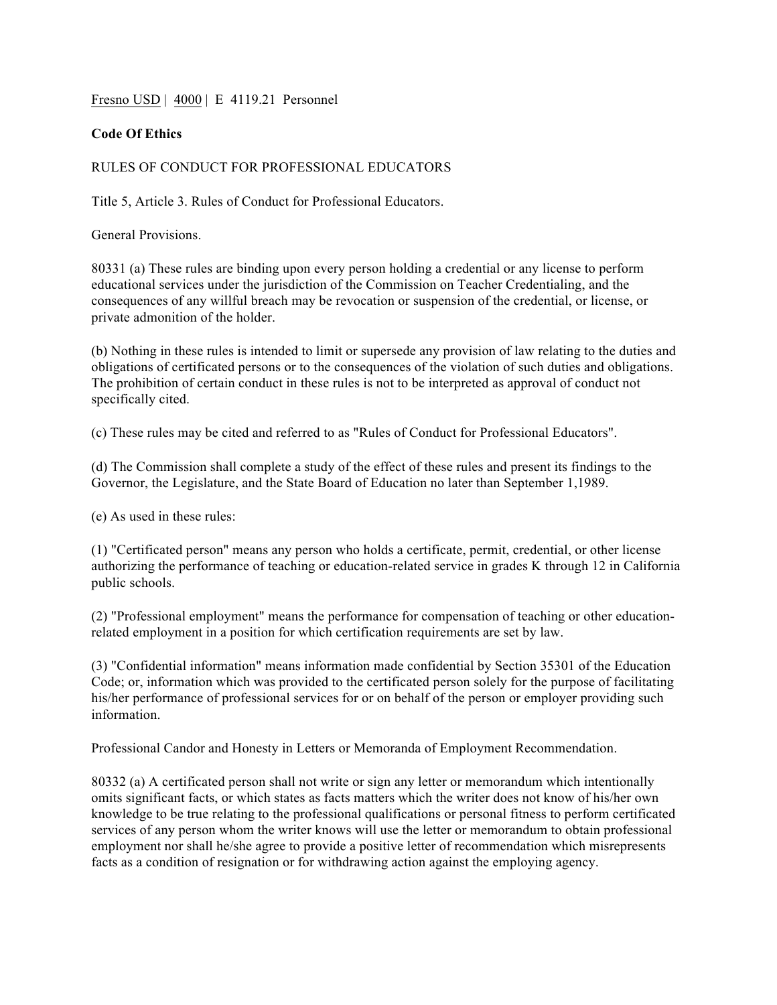Fresno USD | 4000 | E 4119.21 Personnel

## **Code Of Ethics**

## RULES OF CONDUCT FOR PROFESSIONAL EDUCATORS

Title 5, Article 3. Rules of Conduct for Professional Educators.

General Provisions.

80331 (a) These rules are binding upon every person holding a credential or any license to perform educational services under the jurisdiction of the Commission on Teacher Credentialing, and the consequences of any willful breach may be revocation or suspension of the credential, or license, or private admonition of the holder.

(b) Nothing in these rules is intended to limit or supersede any provision of law relating to the duties and obligations of certificated persons or to the consequences of the violation of such duties and obligations. The prohibition of certain conduct in these rules is not to be interpreted as approval of conduct not specifically cited.

(c) These rules may be cited and referred to as "Rules of Conduct for Professional Educators".

(d) The Commission shall complete a study of the effect of these rules and present its findings to the Governor, the Legislature, and the State Board of Education no later than September 1,1989.

(e) As used in these rules:

(1) "Certificated person" means any person who holds a certificate, permit, credential, or other license authorizing the performance of teaching or education-related service in grades K through 12 in California public schools.

(2) "Professional employment" means the performance for compensation of teaching or other educationrelated employment in a position for which certification requirements are set by law.

(3) "Confidential information" means information made confidential by Section 35301 of the Education Code; or, information which was provided to the certificated person solely for the purpose of facilitating his/her performance of professional services for or on behalf of the person or employer providing such information.

Professional Candor and Honesty in Letters or Memoranda of Employment Recommendation.

80332 (a) A certificated person shall not write or sign any letter or memorandum which intentionally omits significant facts, or which states as facts matters which the writer does not know of his/her own knowledge to be true relating to the professional qualifications or personal fitness to perform certificated services of any person whom the writer knows will use the letter or memorandum to obtain professional employment nor shall he/she agree to provide a positive letter of recommendation which misrepresents facts as a condition of resignation or for withdrawing action against the employing agency.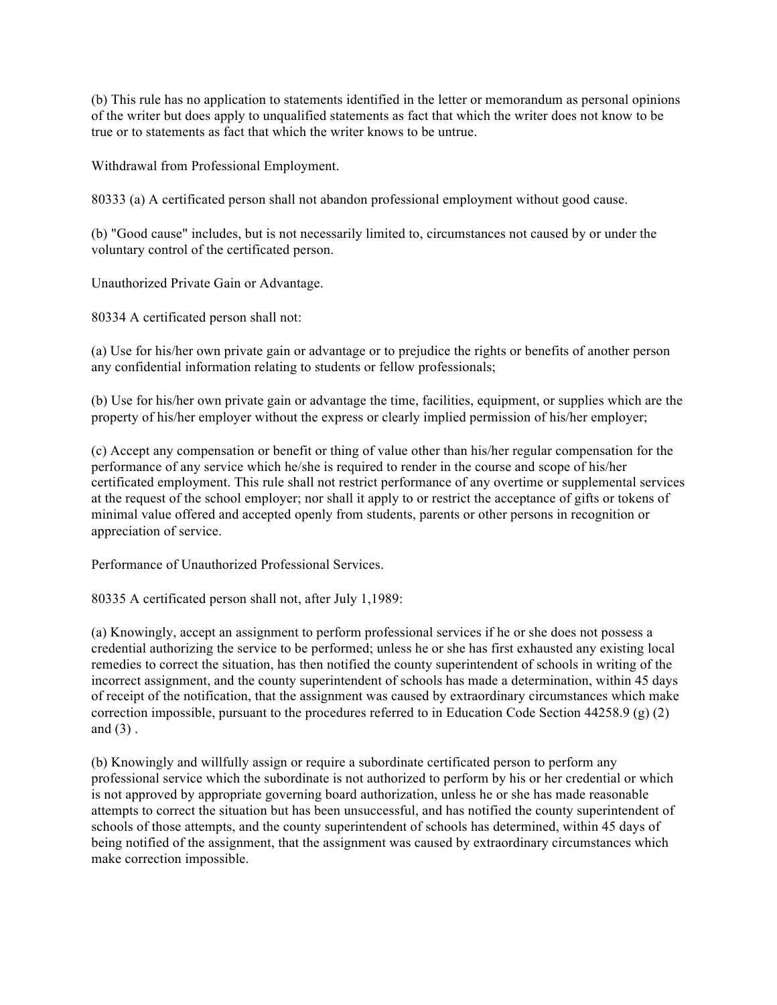(b) This rule has no application to statements identified in the letter or memorandum as personal opinions of the writer but does apply to unqualified statements as fact that which the writer does not know to be true or to statements as fact that which the writer knows to be untrue.

Withdrawal from Professional Employment.

80333 (a) A certificated person shall not abandon professional employment without good cause.

(b) "Good cause" includes, but is not necessarily limited to, circumstances not caused by or under the voluntary control of the certificated person.

Unauthorized Private Gain or Advantage.

80334 A certificated person shall not:

(a) Use for his/her own private gain or advantage or to prejudice the rights or benefits of another person any confidential information relating to students or fellow professionals;

(b) Use for his/her own private gain or advantage the time, facilities, equipment, or supplies which are the property of his/her employer without the express or clearly implied permission of his/her employer;

(c) Accept any compensation or benefit or thing of value other than his/her regular compensation for the performance of any service which he/she is required to render in the course and scope of his/her certificated employment. This rule shall not restrict performance of any overtime or supplemental services at the request of the school employer; nor shall it apply to or restrict the acceptance of gifts or tokens of minimal value offered and accepted openly from students, parents or other persons in recognition or appreciation of service.

Performance of Unauthorized Professional Services.

80335 A certificated person shall not, after July 1,1989:

(a) Knowingly, accept an assignment to perform professional services if he or she does not possess a credential authorizing the service to be performed; unless he or she has first exhausted any existing local remedies to correct the situation, has then notified the county superintendent of schools in writing of the incorrect assignment, and the county superintendent of schools has made a determination, within 45 days of receipt of the notification, that the assignment was caused by extraordinary circumstances which make correction impossible, pursuant to the procedures referred to in Education Code Section 44258.9 (g) (2) and  $(3)$ .

(b) Knowingly and willfully assign or require a subordinate certificated person to perform any professional service which the subordinate is not authorized to perform by his or her credential or which is not approved by appropriate governing board authorization, unless he or she has made reasonable attempts to correct the situation but has been unsuccessful, and has notified the county superintendent of schools of those attempts, and the county superintendent of schools has determined, within 45 days of being notified of the assignment, that the assignment was caused by extraordinary circumstances which make correction impossible.